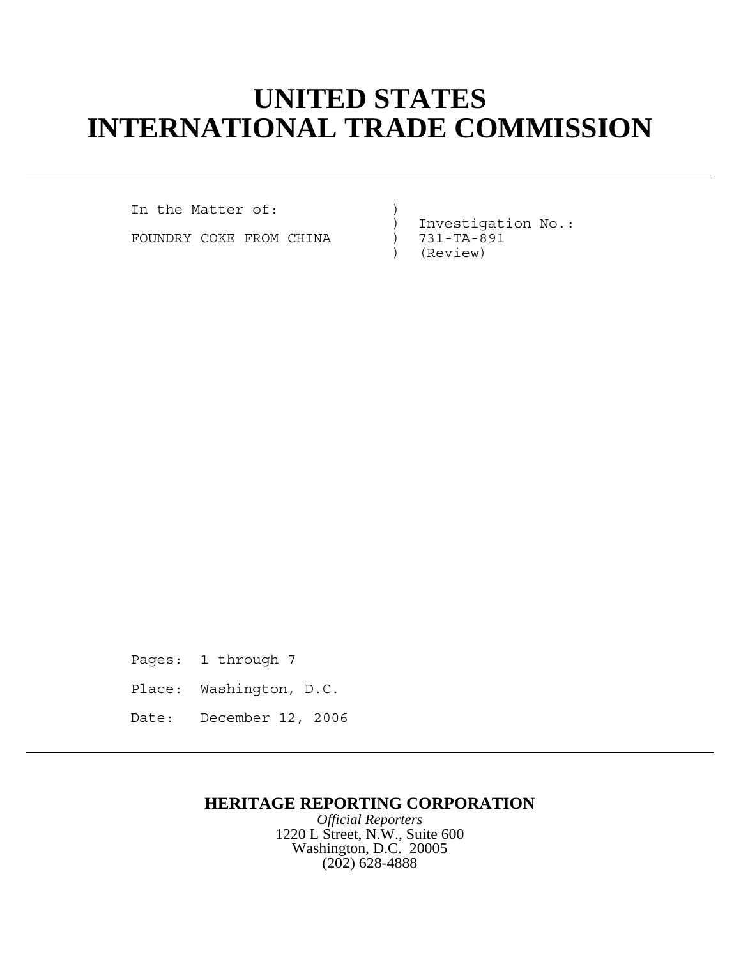# **UNITED STATES INTERNATIONAL TRADE COMMISSION**

In the Matter of: (1)

FOUNDRY COKE FROM CHINA )

) Investigation No.:<br>) 731-TA-891 ) (Review)

Pages: 1 through 7 Place: Washington, D.C. Date: December 12, 2006

## **HERITAGE REPORTING CORPORATION**

*Official Reporters* 1220 L Street, N.W., Suite 600 Washington, D.C. 20005 (202) 628-4888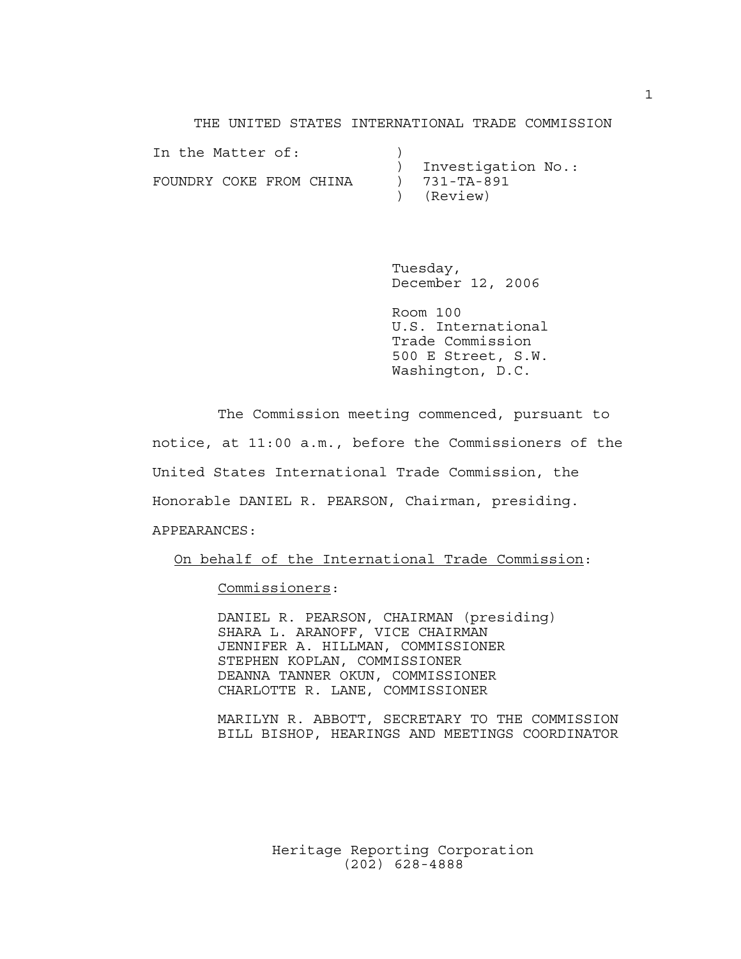THE UNITED STATES INTERNATIONAL TRADE COMMISSION

| In the Matter of:       |  |  |                      |  |
|-------------------------|--|--|----------------------|--|
|                         |  |  | ) Investigation No.: |  |
| FOUNDRY COKE FROM CHINA |  |  | ) 731-TA-891         |  |
|                         |  |  | ) (Review)           |  |

Tuesday, December 12, 2006

Room 100 U.S. International Trade Commission 500 E Street, S.W. Washington, D.C.

The Commission meeting commenced, pursuant to notice, at 11:00 a.m., before the Commissioners of the United States International Trade Commission, the Honorable DANIEL R. PEARSON, Chairman, presiding. APPEARANCES:

On behalf of the International Trade Commission:

Commissioners:

DANIEL R. PEARSON, CHAIRMAN (presiding) SHARA L. ARANOFF, VICE CHAIRMAN JENNIFER A. HILLMAN, COMMISSIONER STEPHEN KOPLAN, COMMISSIONER DEANNA TANNER OKUN, COMMISSIONER CHARLOTTE R. LANE, COMMISSIONER

MARILYN R. ABBOTT, SECRETARY TO THE COMMISSION BILL BISHOP, HEARINGS AND MEETINGS COORDINATOR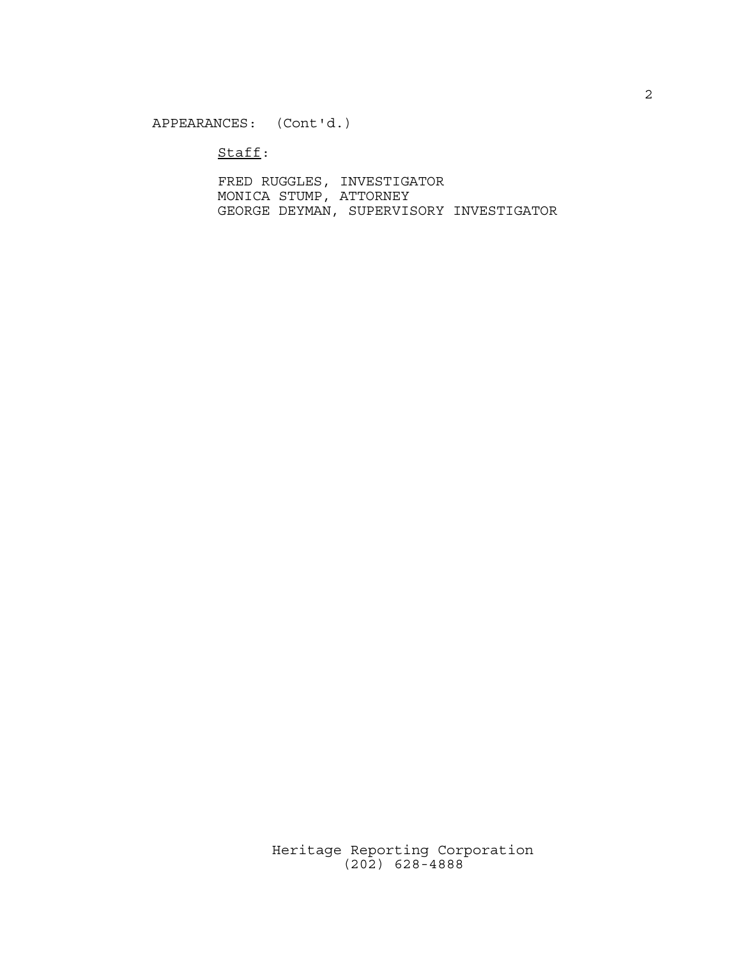### APPEARANCES: (Cont'd.)

Staff:

FRED RUGGLES, INVESTIGATOR MONICA STUMP, ATTORNEY GEORGE DEYMAN, SUPERVISORY INVESTIGATOR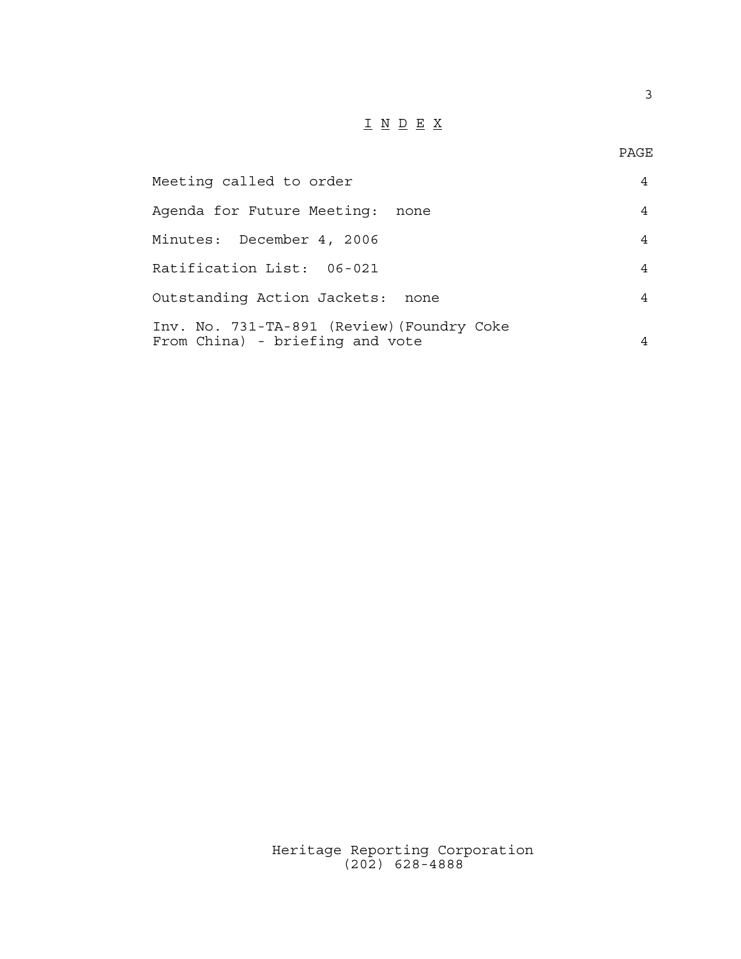## I N D E X

3

| Meeting called to order                                                       |   |  |  |  |
|-------------------------------------------------------------------------------|---|--|--|--|
| Agenda for Future Meeting:<br>none                                            |   |  |  |  |
| Minutes: December 4, 2006                                                     | 4 |  |  |  |
| Ratification List: 06-021                                                     | 4 |  |  |  |
| Outstanding Action Jackets:<br>none                                           |   |  |  |  |
| Inv. No. 731-TA-891 (Review) (Foundry Coke<br>From China) - briefing and vote |   |  |  |  |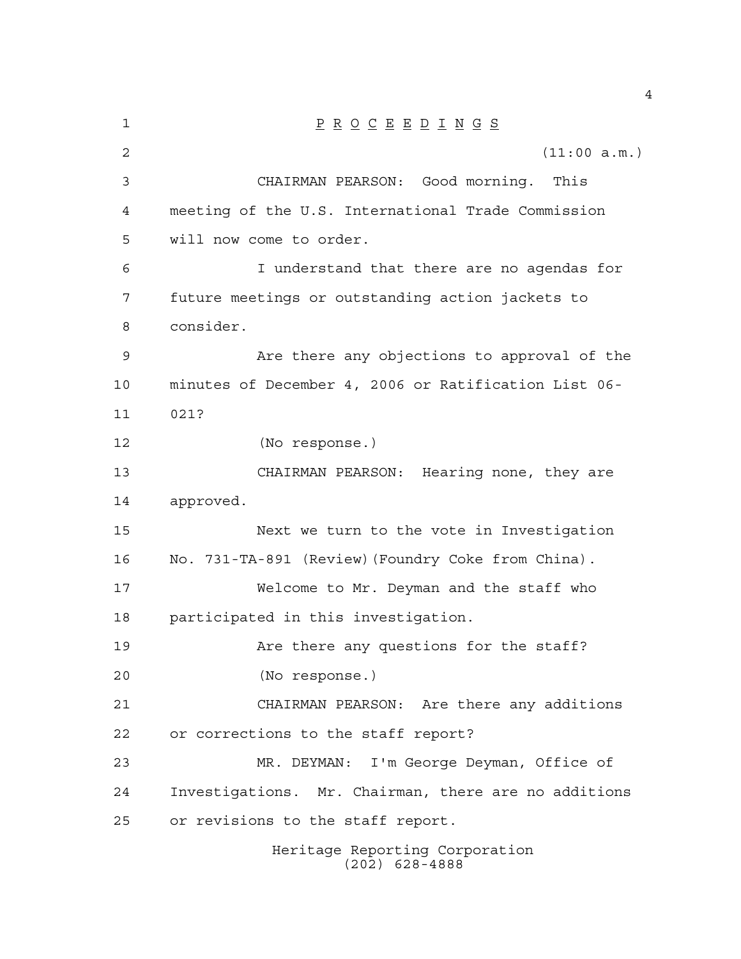| 1              | $\underline{P} \underline{R} \underline{O} \underline{C} \underline{E} \underline{E} \underline{D} \underline{I} \underline{N} \underline{G} \underline{S}$ |  |  |  |  |  |  |
|----------------|-------------------------------------------------------------------------------------------------------------------------------------------------------------|--|--|--|--|--|--|
| $\overline{2}$ | (11:00 a.m.)                                                                                                                                                |  |  |  |  |  |  |
| 3              | CHAIRMAN PEARSON: Good morning. This                                                                                                                        |  |  |  |  |  |  |
| 4              | meeting of the U.S. International Trade Commission                                                                                                          |  |  |  |  |  |  |
| 5              | will now come to order.                                                                                                                                     |  |  |  |  |  |  |
| 6              | I understand that there are no agendas for                                                                                                                  |  |  |  |  |  |  |
| 7              | future meetings or outstanding action jackets to                                                                                                            |  |  |  |  |  |  |
| 8              | consider.                                                                                                                                                   |  |  |  |  |  |  |
| 9              | Are there any objections to approval of the                                                                                                                 |  |  |  |  |  |  |
| 10             | minutes of December 4, 2006 or Ratification List 06-                                                                                                        |  |  |  |  |  |  |
| 11             | 021?                                                                                                                                                        |  |  |  |  |  |  |
| 12             | (No response.)                                                                                                                                              |  |  |  |  |  |  |
| 13             | CHAIRMAN PEARSON: Hearing none, they are                                                                                                                    |  |  |  |  |  |  |
| 14             | approved.                                                                                                                                                   |  |  |  |  |  |  |
| 15             | Next we turn to the vote in Investigation                                                                                                                   |  |  |  |  |  |  |
| 16             | No. 731-TA-891 (Review) (Foundry Coke from China).                                                                                                          |  |  |  |  |  |  |
| 17             | Welcome to Mr. Deyman and the staff who                                                                                                                     |  |  |  |  |  |  |
| 18             | participated in this investigation.                                                                                                                         |  |  |  |  |  |  |
| 19             | Are there any questions for the staff?                                                                                                                      |  |  |  |  |  |  |
| 20             | (No response.)                                                                                                                                              |  |  |  |  |  |  |
| 21             | CHAIRMAN PEARSON: Are there any additions                                                                                                                   |  |  |  |  |  |  |
| 22             | or corrections to the staff report?                                                                                                                         |  |  |  |  |  |  |
| 23             | MR. DEYMAN: I'm George Deyman, Office of                                                                                                                    |  |  |  |  |  |  |
| 24             | Investigations. Mr. Chairman, there are no additions                                                                                                        |  |  |  |  |  |  |
| 25             | or revisions to the staff report.                                                                                                                           |  |  |  |  |  |  |
|                | Heritage Reporting Corporation                                                                                                                              |  |  |  |  |  |  |

(202) 628-4888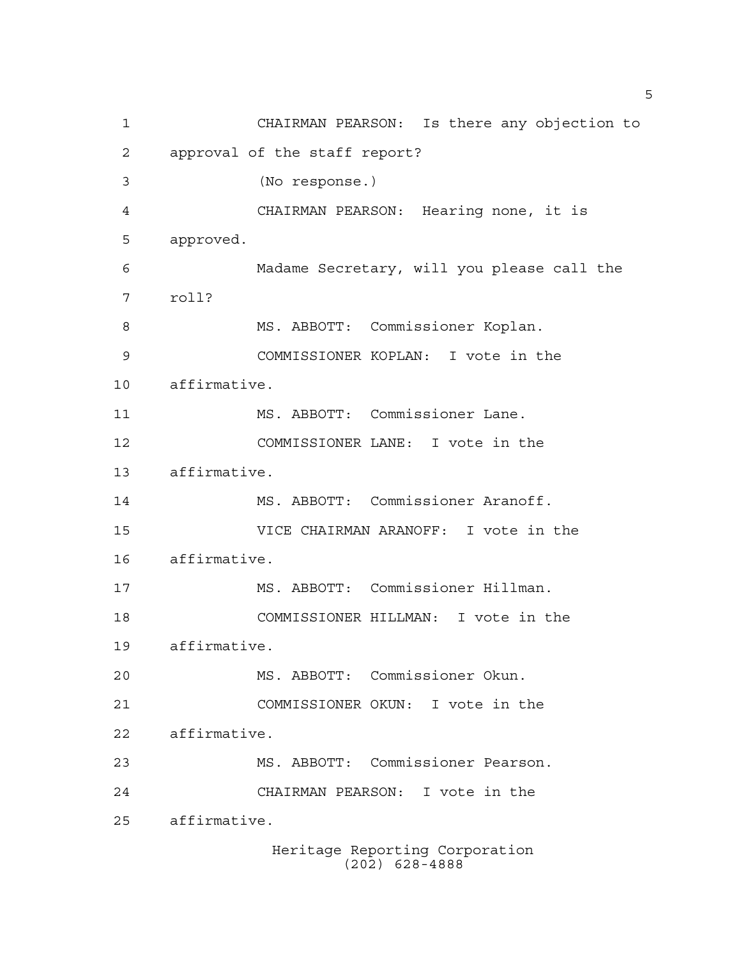Heritage Reporting Corporation CHAIRMAN PEARSON: Is there any objection to approval of the staff report? (No response.) CHAIRMAN PEARSON: Hearing none, it is approved. Madame Secretary, will you please call the roll? MS. ABBOTT: Commissioner Koplan. COMMISSIONER KOPLAN: I vote in the affirmative. MS. ABBOTT: Commissioner Lane. COMMISSIONER LANE: I vote in the affirmative. MS. ABBOTT: Commissioner Aranoff. VICE CHAIRMAN ARANOFF: I vote in the affirmative. MS. ABBOTT: Commissioner Hillman. COMMISSIONER HILLMAN: I vote in the affirmative. MS. ABBOTT: Commissioner Okun. COMMISSIONER OKUN: I vote in the affirmative. MS. ABBOTT: Commissioner Pearson. CHAIRMAN PEARSON: I vote in the affirmative.

(202) 628-4888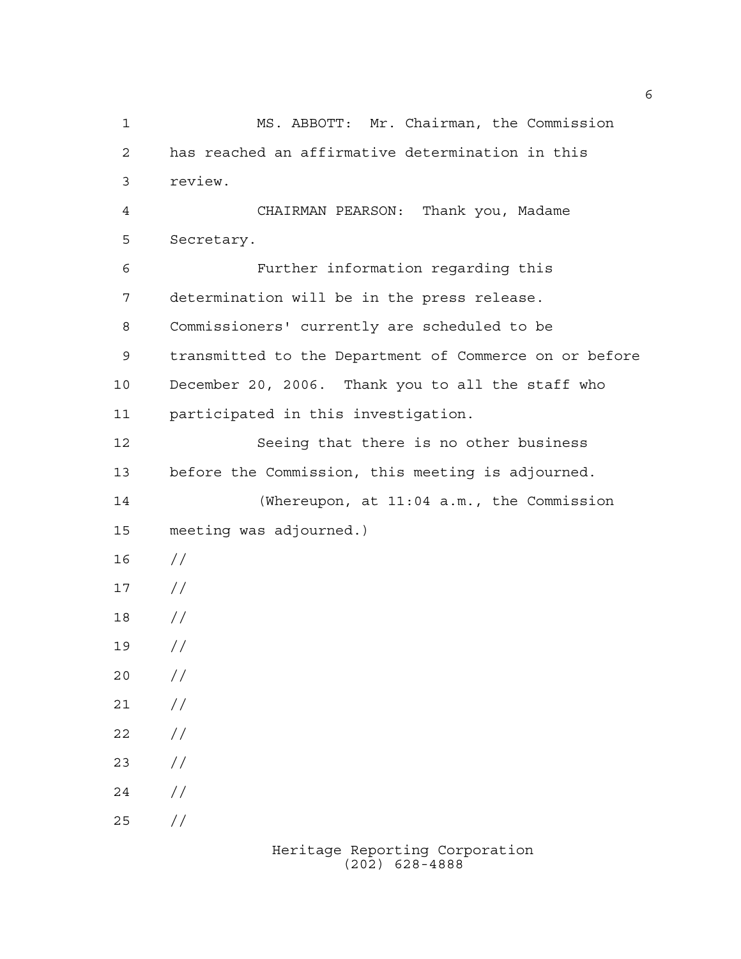MS. ABBOTT: Mr. Chairman, the Commission has reached an affirmative determination in this review. CHAIRMAN PEARSON: Thank you, Madame Secretary. Further information regarding this determination will be in the press release. Commissioners' currently are scheduled to be transmitted to the Department of Commerce on or before December 20, 2006. Thank you to all the staff who participated in this investigation. Seeing that there is no other business before the Commission, this meeting is adjourned. (Whereupon, at 11:04 a.m., the Commission meeting was adjourned.) //  $17 /$  // //  $20 /$  $21 /$  $22 / /$  $23 / /$  $24 /$  $25 / /$